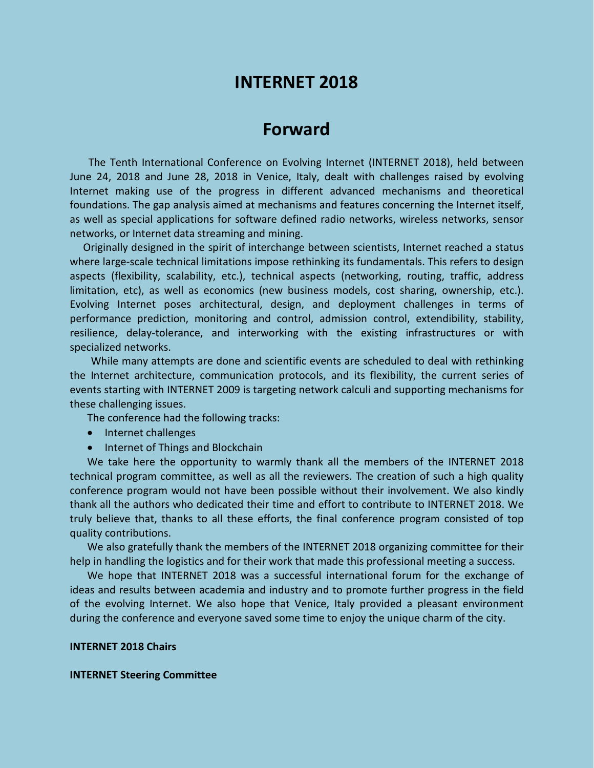# **INTERNET 2018**

# **Forward**

The Tenth International Conference on Evolving Internet (INTERNET 2018), held between June 24, 2018 and June 28, 2018 in Venice, Italy, dealt with challenges raised by evolving Internet making use of the progress in different advanced mechanisms and theoretical foundations. The gap analysis aimed at mechanisms and features concerning the Internet itself, as well as special applications for software defined radio networks, wireless networks, sensor networks, or Internet data streaming and mining.

Originally designed in the spirit of interchange between scientists, Internet reached a status where large-scale technical limitations impose rethinking its fundamentals. This refers to design aspects (flexibility, scalability, etc.), technical aspects (networking, routing, traffic, address limitation, etc), as well as economics (new business models, cost sharing, ownership, etc.). Evolving Internet poses architectural, design, and deployment challenges in terms of performance prediction, monitoring and control, admission control, extendibility, stability, resilience, delay-tolerance, and interworking with the existing infrastructures or with specialized networks.

While many attempts are done and scientific events are scheduled to deal with rethinking the Internet architecture, communication protocols, and its flexibility, the current series of events starting with INTERNET 2009 is targeting network calculi and supporting mechanisms for these challenging issues.

The conference had the following tracks:

- Internet challenges
- Internet of Things and Blockchain

We take here the opportunity to warmly thank all the members of the INTERNET 2018 technical program committee, as well as all the reviewers. The creation of such a high quality conference program would not have been possible without their involvement. We also kindly thank all the authors who dedicated their time and effort to contribute to INTERNET 2018. We truly believe that, thanks to all these efforts, the final conference program consisted of top quality contributions.

We also gratefully thank the members of the INTERNET 2018 organizing committee for their help in handling the logistics and for their work that made this professional meeting a success.

We hope that INTERNET 2018 was a successful international forum for the exchange of ideas and results between academia and industry and to promote further progress in the field of the evolving Internet. We also hope that Venice, Italy provided a pleasant environment during the conference and everyone saved some time to enjoy the unique charm of the city.

### **INTERNET 2018 Chairs**

#### **INTERNET Steering Committee**